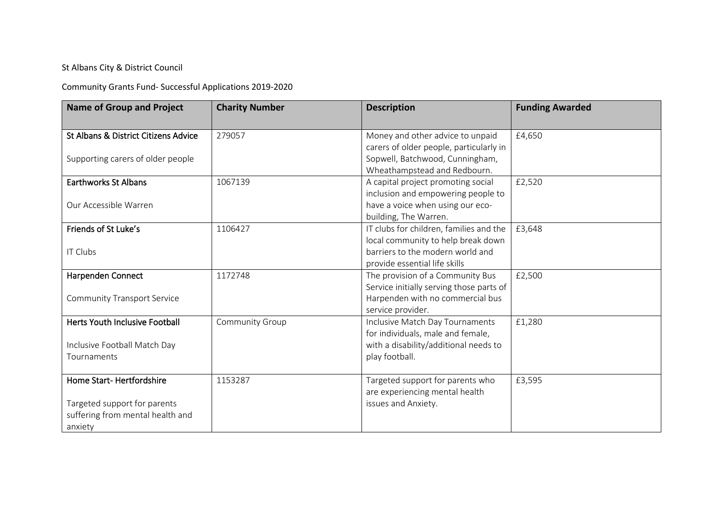## St Albans City & District Council

Community Grants Fund- Successful Applications 2019-2020

| <b>Name of Group and Project</b>     | <b>Charity Number</b> | <b>Description</b>                       | <b>Funding Awarded</b> |
|--------------------------------------|-----------------------|------------------------------------------|------------------------|
|                                      |                       |                                          |                        |
| St Albans & District Citizens Advice | 279057                | Money and other advice to unpaid         | £4,650                 |
|                                      |                       | carers of older people, particularly in  |                        |
| Supporting carers of older people    |                       | Sopwell, Batchwood, Cunningham,          |                        |
|                                      |                       | Wheathampstead and Redbourn.             |                        |
| <b>Earthworks St Albans</b>          | 1067139               | A capital project promoting social       | £2,520                 |
|                                      |                       | inclusion and empowering people to       |                        |
| Our Accessible Warren                |                       | have a voice when using our eco-         |                        |
|                                      |                       | building, The Warren.                    |                        |
| Friends of St Luke's                 | 1106427               | IT clubs for children, families and the  | £3,648                 |
|                                      |                       | local community to help break down       |                        |
| IT Clubs                             |                       | barriers to the modern world and         |                        |
|                                      |                       | provide essential life skills            |                        |
| Harpenden Connect                    | 1172748               | The provision of a Community Bus         | £2,500                 |
|                                      |                       | Service initially serving those parts of |                        |
| <b>Community Transport Service</b>   |                       | Harpenden with no commercial bus         |                        |
|                                      |                       | service provider.                        |                        |
| Herts Youth Inclusive Football       | Community Group       | Inclusive Match Day Tournaments          | £1,280                 |
|                                      |                       | for individuals, male and female,        |                        |
| Inclusive Football Match Day         |                       | with a disability/additional needs to    |                        |
| Tournaments                          |                       | play football.                           |                        |
|                                      |                       |                                          |                        |
| Home Start-Hertfordshire             | 1153287               | Targeted support for parents who         | £3,595                 |
|                                      |                       | are experiencing mental health           |                        |
| Targeted support for parents         |                       | issues and Anxiety.                      |                        |
| suffering from mental health and     |                       |                                          |                        |
| anxiety                              |                       |                                          |                        |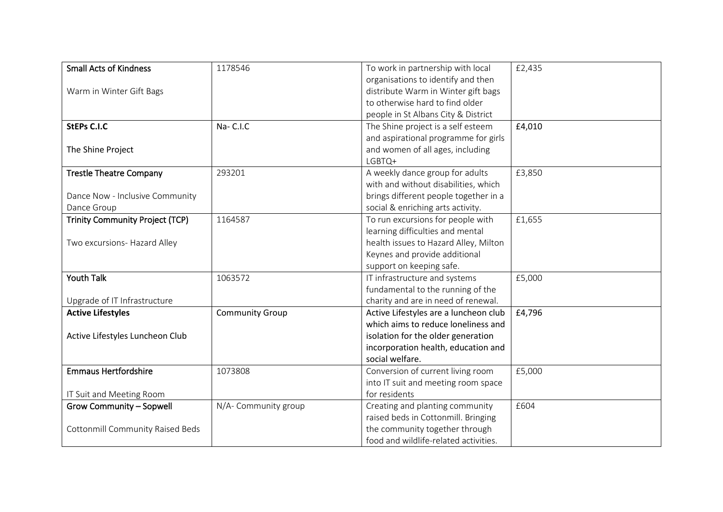| <b>Small Acts of Kindness</b>           | 1178546                | To work in partnership with local     | £2,435 |
|-----------------------------------------|------------------------|---------------------------------------|--------|
|                                         |                        | organisations to identify and then    |        |
| Warm in Winter Gift Bags                |                        | distribute Warm in Winter gift bags   |        |
|                                         |                        | to otherwise hard to find older       |        |
|                                         |                        | people in St Albans City & District   |        |
| <b>StEPs C.I.C</b>                      | Na-C.I.C               | The Shine project is a self esteem    | £4,010 |
|                                         |                        | and aspirational programme for girls  |        |
| The Shine Project                       |                        | and women of all ages, including      |        |
|                                         |                        | LGBTQ+                                |        |
| <b>Trestle Theatre Company</b>          | 293201                 | A weekly dance group for adults       | £3,850 |
|                                         |                        | with and without disabilities, which  |        |
| Dance Now - Inclusive Community         |                        | brings different people together in a |        |
| Dance Group                             |                        | social & enriching arts activity.     |        |
| <b>Trinity Community Project (TCP)</b>  | 1164587                | To run excursions for people with     | £1,655 |
|                                         |                        | learning difficulties and mental      |        |
| Two excursions- Hazard Alley            |                        | health issues to Hazard Alley, Milton |        |
|                                         |                        | Keynes and provide additional         |        |
|                                         |                        | support on keeping safe.              |        |
| <b>Youth Talk</b>                       | 1063572                | IT infrastructure and systems         | £5,000 |
|                                         |                        | fundamental to the running of the     |        |
| Upgrade of IT Infrastructure            |                        | charity and are in need of renewal.   |        |
| <b>Active Lifestyles</b>                | <b>Community Group</b> | Active Lifestyles are a luncheon club | £4,796 |
|                                         |                        | which aims to reduce loneliness and   |        |
| Active Lifestyles Luncheon Club         |                        | isolation for the older generation    |        |
|                                         |                        | incorporation health, education and   |        |
|                                         |                        | social welfare.                       |        |
| <b>Emmaus Hertfordshire</b>             | 1073808                | Conversion of current living room     | £5,000 |
|                                         |                        | into IT suit and meeting room space   |        |
| IT Suit and Meeting Room                |                        | for residents                         |        |
| Grow Community - Sopwell                | N/A- Community group   | Creating and planting community       | £604   |
|                                         |                        | raised beds in Cottonmill. Bringing   |        |
| <b>Cottonmill Community Raised Beds</b> |                        | the community together through        |        |
|                                         |                        | food and wildlife-related activities. |        |